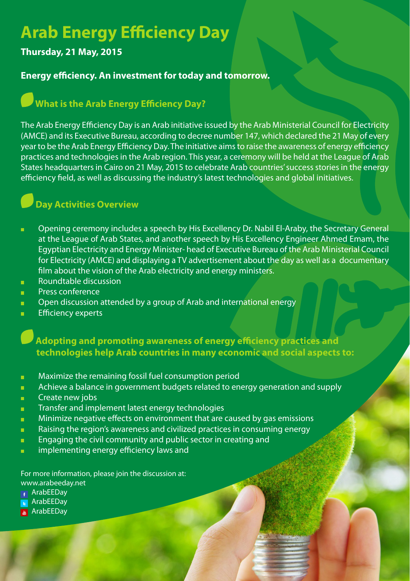# **Arab Energy Efficiency Day**

#### **7hursday, 21 May, 2015**

#### **Energy efficiency. An investment for today and tomorrow.**

# **<sup>***•***</sup> What is the Arab Energy Efficiency Day?**

The Arab Energy Efficiency Day is an Arab initiative issued by the Arab Ministerial Council for Electricity (AMCE) and its Executive Bureau, according to decree number 147, which declared the 21 May of every year to be the Arab Energy Efficiency Day. The initiative aims to raise the awareness of energy efficiency practices and technologies in the Arab region. This year, a ceremony will be held at the League of Arab States headquarters in Cairo on 21 May, 2015 to celebrate Arab countries' success stories in the energy efficiency field, as well as discussing the industry's latest technologies and global initiatives.

## **Day Activities Overview**

- ä. Opening ceremony includes a speech by His Excellency Dr. Nabil El-Araby, the Secretary General at the League of Arab States, and another speech by His Excellency Engineer Ahmed Emam, the Eqyptian Electricity and Energy Minister-head of Executive Bureau of the Arab Ministerial Council for Electricity (AMCE) and displaying a TV advertisement about the day as well as a documentary film about the vision of the Arab electricity and energy ministers.
- Roundtable discussion ä,
- Press conference i.
- Open discussion attended by a group of Arab and international energy 'n.
- Efficiency experts i.

**Adopting and promoting awareness of energy efficiency practices and** technologies help Arab countries in many economic and social aspects to:

- Maximize the remaining fossil fuel consumption period ň.
- Achieve a balance in government budgets related to energy generation and supply m.
- Create new jobs ä,
- Transfer and implement latest energy technologies **H**
- Minimize negative effects on environment that are caused by gas emissions i.
- Raising the region's awareness and civilized practices in consuming energy ä,
- Engaging the civil community and public sector in creating and i.
- implementing energy efficiency laws and i.

For more information, please join the discussion at: www.arabeeday.net

- ArabEEDay
- **ArabEEDay**
- ArabEEDay